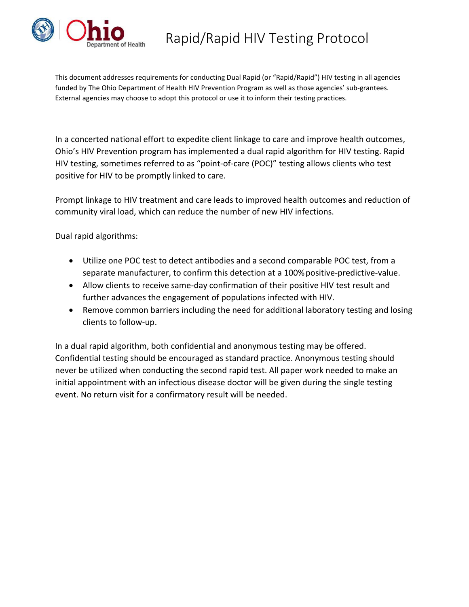

This document addresses requirements for conducting Dual Rapid (or "Rapid/Rapid") HIV testing in all agencies funded by The Ohio Department of Health HIV Prevention Program as well as those agencies' sub-grantees. External agencies may choose to adopt this protocol or use it to inform their testing practices.

In a concerted national effort to expedite client linkage to care and improve health outcomes, Ohio's HIV Prevention program has implemented a dual rapid algorithm for HIV testing. Rapid HIV testing, sometimes referred to as "point-of-care (POC)" testing allows clients who test positive for HIV to be promptly linked to care.

Prompt linkage to HIV treatment and care leads to improved health outcomes and reduction of community viral load, which can reduce the number of new HIV infections.

Dual rapid algorithms:

- Utilize one POC test to detect antibodies and a second comparable POC test, from a separate manufacturer, to confirm this detection at a 100%positive-predictive-value.
- Allow clients to receive same-day confirmation of their positive HIV test result and further advances the engagement of populations infected with HIV.
- Remove common barriers including the need for additional laboratory testing and losing clients to follow-up.

In a dual rapid algorithm, both confidential and anonymous testing may be offered. Confidential testing should be encouraged as standard practice. Anonymous testing should never be utilized when conducting the second rapid test. All paper work needed to make an initial appointment with an infectious disease doctor will be given during the single testing event. No return visit for a confirmatory result will be needed.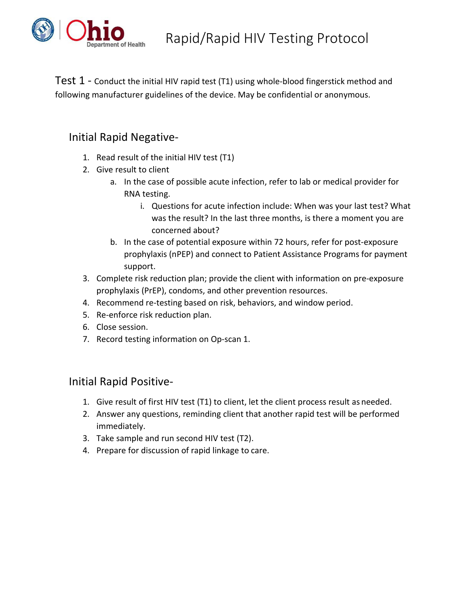

Test 1 - Conduct the initial HIV rapid test (T1) using whole-blood fingerstick method and following manufacturer guidelines of the device. May be confidential or anonymous.

## Initial Rapid Negative-

- 1. Read result of the initial HIV test (T1)
- 2. Give result to client
	- a. In the case of possible acute infection, refer to lab or medical provider for RNA testing.
		- i. Questions for acute infection include: When was your last test? What was the result? In the last three months, is there a moment you are concerned about?
	- b. In the case of potential exposure within 72 hours, refer for post-exposure prophylaxis (nPEP) and connect to Patient Assistance Programs for payment support.
- 3. Complete risk reduction plan; provide the client with information on pre-exposure prophylaxis (PrEP), condoms, and other prevention resources.
- 4. Recommend re-testing based on risk, behaviors, and window period.
- 5. Re-enforce risk reduction plan.
- 6. Close session.
- 7. Record testing information on Op-scan 1.

## Initial Rapid Positive-

- 1. Give result of first HIV test (T1) to client, let the client process result as needed.
- 2. Answer any questions, reminding client that another rapid test will be performed immediately.
- 3. Take sample and run second HIV test (T2).
- 4. Prepare for discussion of rapid linkage to care.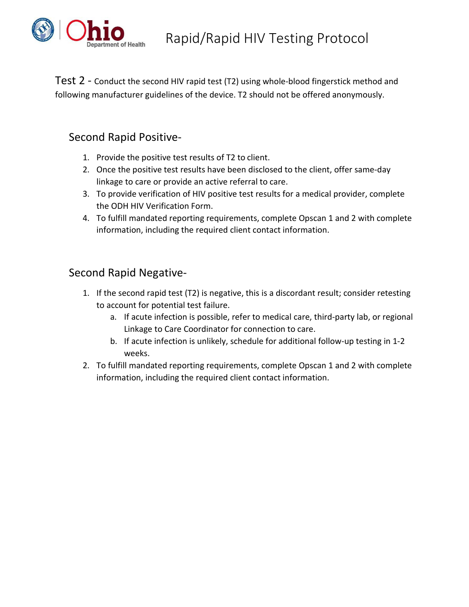

Test 2 - Conduct the second HIV rapid test (T2) using whole-blood fingerstick method and following manufacturer guidelines of the device. T2 should not be offered anonymously.

## Second Rapid Positive-

- 1. Provide the positive test results of T2 to client.
- 2. Once the positive test results have been disclosed to the client, offer same-day linkage to care or provide an active referral to care.
- 3. To provide verification of HIV positive test results for a medical provider, complete the ODH HIV Verification Form.
- 4. To fulfill mandated reporting requirements, complete Opscan 1 and 2 with complete information, including the required client contact information.

## Second Rapid Negative-

- 1. If the second rapid test (T2) is negative, this is a discordant result; consider retesting to account for potential test failure.
	- a. If acute infection is possible, refer to medical care, third-party lab, or regional Linkage to Care Coordinator for connection to care.
	- b. If acute infection is unlikely, schedule for additional follow-up testing in 1-2 weeks.
- 2. To fulfill mandated reporting requirements, complete Opscan 1 and 2 with complete information, including the required client contact information.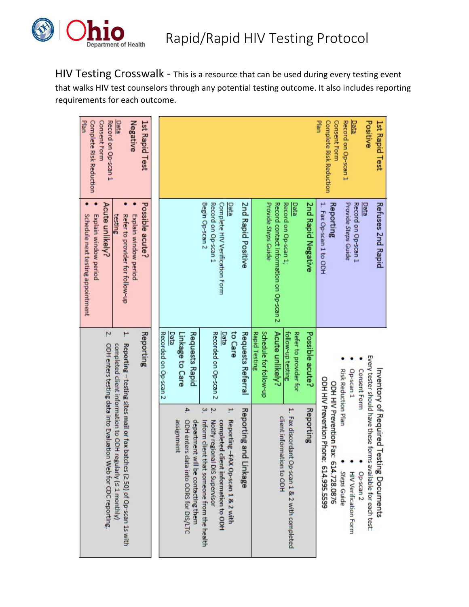

HIV Testing Crosswalk - This is a resource that can be used during every testing event that walks HIV test counselors through any potential testing outcome. It also includes reporting requirements for each outcome.

| Plan<br>Record on Op-scan 1<br>Negative<br>Complete Risk Reduction<br><b>Consent Form</b><br>Data<br>1st Rapid Test                                                                                      |                                                                                                                                                                                                                                                                                                                                                                                                       | Plan<br>Positive<br><b>Consent Form</b><br>Record on Op-scan 1<br><b>Complete Risk Reduction</b><br><u>Data</u><br>1st Rapid Test                                                                                                                                    |
|----------------------------------------------------------------------------------------------------------------------------------------------------------------------------------------------------------|-------------------------------------------------------------------------------------------------------------------------------------------------------------------------------------------------------------------------------------------------------------------------------------------------------------------------------------------------------------------------------------------------------|----------------------------------------------------------------------------------------------------------------------------------------------------------------------------------------------------------------------------------------------------------------------|
| Acute unlikely?<br>Possible acute?<br>Explain window period<br>Explain window period<br>Schedule next testing appointment<br>testing<br>Refer to provider for follow-up                                  | 2nd Rapid Positive<br>Begin Op-scan 2<br>Provide Steps Guide<br>Record contact information on Op-scan 2<br>Record on Op-scan 1;<br><b>Pata</b><br>2nd Rapid Negative<br>Record on Op-scan 1<br>Complete HIV Verification Form<br>Data                                                                                                                                                                 | 1. Fax Op-scan 1 to ODH<br>Provide Steps Guide<br>Data<br>Refuses 2nd Rapid<br>Reporting<br>Record on Op-scan 1                                                                                                                                                      |
| 2<br>۳<br>Reporting                                                                                                                                                                                      | Acute unlikely?<br>to Care<br>Schedule for follow-up<br>Recorded on Op-scan 2<br>Data<br>Requests Rapid<br>Recorded on Op-scan 2<br>Data<br>Requests Referral<br><b>Rapid Testing</b><br>follow-up testing<br>Refer to provider for<br>Possible acute?<br>Linkage to Care                                                                                                                             | Risk Reduction Plan<br>Op-scan 1<br>Consent Form                                                                                                                                                                                                                     |
| Reporting - testing sites mail or fax batches (2 50) of Op-scan 1s with<br>ODH enters testing data into Evaluation Web for CDC reporting.<br>completed client information to ODH regularly (< 1 monthly) | 4<br>3.<br>2<br>۳<br>Reporting and<br>1. Fax discordant<br>Reporting<br>client information to ODH<br>Reporting -FAX Op-scan 1 & 2 with<br>assignment<br>ODH enters data into ODRS for DIS/LTC<br>department will be contacting them<br>Inform client that someone from the health<br>Notify regional DIS Supervisor<br>completed client information to ODH<br>Op-scan 1 & 2 with completed<br>Linkage | Every tester should have these forms available for each test:<br>Inventory of Required Testing Documents<br>ODH HIV Prevention Phone: 614.995.5599<br>ODH HIV Prevention Fax:<br>614.728.0876<br>Op-scan <sub>2</sub><br><b>Steps Guide</b><br>HIV Verification Form |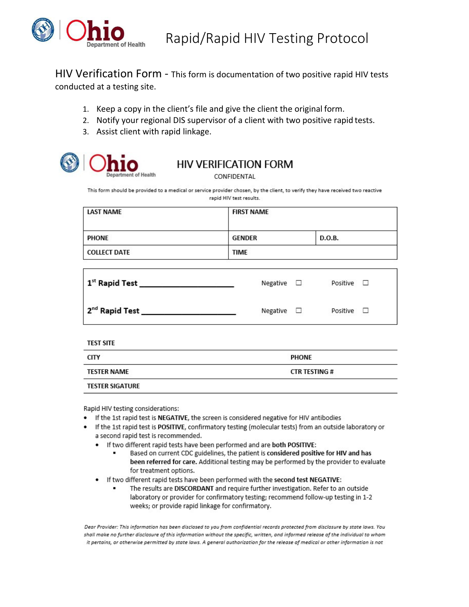

HIV Verification Form - This form is documentation of two positive rapid HIV tests conducted at a testing site.

- 1. Keep a copy in the client's file and give the client the original form.
- 2. Notify your regional DIS supervisor of a client with two positive rapid tests.
- 3. Assist client with rapid linkage.



## **HIV VERIFICATION FORM**

CONFIDENTAL

This form should be provided to a medical or service provider chosen, by the client, to verify they have received two reactive rapid HIV test results.

| <b>LAST NAME</b>                                | <b>FIRST NAME</b>  |  |                    |  |  |  |  |  |
|-------------------------------------------------|--------------------|--|--------------------|--|--|--|--|--|
| <b>PHONE</b>                                    | <b>GENDER</b>      |  | D.O.B.             |  |  |  |  |  |
| <b>COLLECT DATE</b>                             | <b>TIME</b>        |  |                    |  |  |  |  |  |
|                                                 | Negative $\square$ |  | Positive $\square$ |  |  |  |  |  |
| 2 <sup>nd</sup> Rapid Test ____________________ | Negative □         |  | Positive $\square$ |  |  |  |  |  |
| <b>TEST SITE</b>                                |                    |  |                    |  |  |  |  |  |

| <b>CITY</b>            | <b>PHONE</b>        |
|------------------------|---------------------|
| TESTER NAME            | <b>CTR TESTING#</b> |
| <b>TESTER SIGATURE</b> |                     |

Rapid HIV testing considerations:

- If the 1st rapid test is NEGATIVE, the screen is considered negative for HIV antibodies
- If the 1st rapid test is POSITIVE, confirmatory testing (molecular tests) from an outside laboratory or a second rapid test is recommended.
	- . If two different rapid tests have been performed and are both POSITIVE:
		- Based on current CDC guidelines, the patient is considered positive for HIV and has been referred for care. Additional testing may be performed by the provider to evaluate for treatment options.
	- If two different rapid tests have been performed with the second test NEGATIVE:
		- The results are DISCORDANT and require further investigation. Refer to an outside laboratory or provider for confirmatory testing; recommend follow-up testing in 1-2 weeks; or provide rapid linkage for confirmatory.

Dear Provider: This information has been disclosed to you from confidential records protected from disclosure by state laws. You shall make no further disclosure of this information without the specific, written, and informed release of the individual to whom it pertains, or otherwise permitted by state laws. A general authorization for the release of medical or other information is not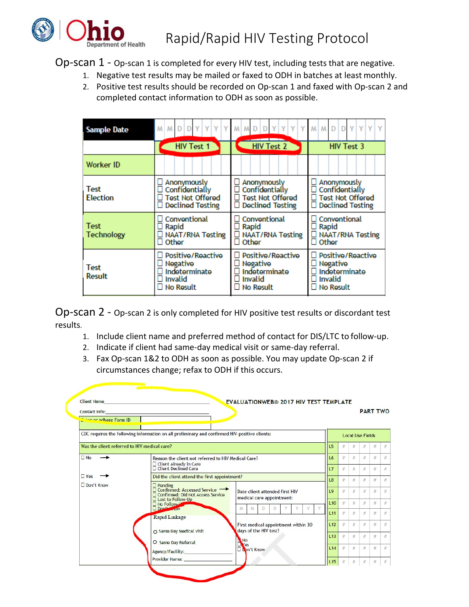

Op-scan 1 - Op-scan 1 is completed for every HIV test, including tests that are negative.

- 1. Negative test results may be mailed or faxed to ODH in batches at least monthly.
- 2. Positive test results should be recorded on Op-scan 1 and faxed with Op-scan 2 and completed contact information to ODH as soon as possible.

| <b>Sample Date</b>               | $M$ $M$ $D$ $D$ $Y$ $Y$ $Y$                                                                                     | Y<br>M M D                                                                                           | MMDDYYYY                                                                                 |
|----------------------------------|-----------------------------------------------------------------------------------------------------------------|------------------------------------------------------------------------------------------------------|------------------------------------------------------------------------------------------|
|                                  | <b>HIV Test 1</b>                                                                                               | <b>HIV Test 2</b>                                                                                    | <b>HIV Test 3</b>                                                                        |
| <b>Worker ID</b>                 |                                                                                                                 |                                                                                                      |                                                                                          |
| <b>Test</b><br><b>Election</b>   | $\Box$ Anonymously<br>$\square$ Confidentially<br><b>Test Not Offered</b><br>$\Box$ Declined Testing            | $\Box$ Anonymously<br>Confidentially<br>Ш<br><b>Test Not Offered</b><br><b>Declined Testing</b><br>⊔ | Anonymously<br>Confidentially<br><b>Test Not Offered</b><br><b>Declined Testing</b><br>Ц |
| <b>Test</b><br><b>Technology</b> | $\Box$ Conventional<br>$\Box$ Rapid<br>□ NAAT/RNA Testing<br>$\Box$ Other                                       | Conventional<br>$\Box$ Rapid<br><b>NAAT/RNA Testing</b><br>$\Box$ Other                              | Conventional<br>Rapid<br>u.<br>□ NAAT/RNA Testing<br>Other<br>П                          |
| Test<br>Result                   | $\Box$ Positive/Reactive<br>$\square$ Negative<br>$\square$ Indeterminate<br>$\Box$ Invalid<br>$\Box$ No Result | Positive/Reactive<br>ш<br>$\Box$ Negative<br>Indeterminate<br>Ц<br>Invalid<br>П<br>$\Box$ No Result  | Positive/Reactive<br>$\square$ Negative<br>Indeterminate<br>Invalid<br><b>No Result</b>  |

Op-scan 2 - Op-scan 2 is only completed for HIV positive test results or discordant test results.

- 1. Include client name and preferred method of contact for DIS/LTC to follow-up.
- 2. Indicate if client had same-day medical visit or same-day referral.
- 3. Fax Op-scan 1&2 to ODH as soon as possible. You may update Op-scan 2 if circumstances change; refax to ODH if this occurs.

| Contact Info: the contract in the contract of the contract in the contract of the contract of the contract of the contract of the contract of the contract of the contract of the contract of the contract of the contract of |                                                                                               |                                                              |                |      |      | <b>PART TWO</b>         |      |      |
|-------------------------------------------------------------------------------------------------------------------------------------------------------------------------------------------------------------------------------|-----------------------------------------------------------------------------------------------|--------------------------------------------------------------|----------------|------|------|-------------------------|------|------|
| <b>Exterior adhere Form ID</b>                                                                                                                                                                                                |                                                                                               |                                                              |                |      |      |                         |      |      |
|                                                                                                                                                                                                                               | CDC requires the following information on all preliminary and confirmed HIV-positive clients: |                                                              |                |      |      | <b>Local Use Fields</b> |      |      |
| Was the client referred to HIV medical care?                                                                                                                                                                                  |                                                                                               |                                                              | L5             | $\#$ | #    | $#$                     | #    | #    |
| $\n  No\n$                                                                                                                                                                                                                    | Reason the client not referred to HIV Medical Care?                                           |                                                              | L <sub>6</sub> | $\#$ | $\#$ | $\#$                    | #    | #    |
|                                                                                                                                                                                                                               | $\Box$ Client Already in Care<br>$\Box$ Client Declined Care                                  |                                                              | L7             | $\#$ | #    | #                       | #    | #    |
| $\Box$ Yes                                                                                                                                                                                                                    | Did the client attend the first appointment?                                                  |                                                              | 18             | #    | #    | #                       | #    | #    |
| Don't Know                                                                                                                                                                                                                    | □ Pending<br>□ Confirmed: Accessed Service<br>Confirmed: Did Not Access Service               | Date client attended first HIV                               | L9             | #    | #    | #                       | #    | #    |
|                                                                                                                                                                                                                               | □ Lost to Follow-Up<br>No Follow-L'<br>Don't wow                                              | medical care appointment:<br>v<br>M<br>M<br>D<br>Y<br>Ð      | L10            | $\#$ | $\#$ | #                       | #    | $\#$ |
|                                                                                                                                                                                                                               | Rapid Linkage                                                                                 |                                                              | L11            | $\#$ | $\#$ | $\#$                    | #    | #    |
|                                                                                                                                                                                                                               |                                                                                               | First medical appointment within 30<br>days of the HIV test? | L12            | #    | #    | $\#$                    | #    | #    |
|                                                                                                                                                                                                                               | O Same Day Medical Visit                                                                      |                                                              | L13            | $\#$ | $\#$ | #                       | #    | #    |
|                                                                                                                                                                                                                               | O Same Day Referral                                                                           | No<br>Os<br>Dopn't Know                                      | L14            | $\#$ | #    | #                       | $#$  | #    |
|                                                                                                                                                                                                                               | Provider Name: Name                                                                           |                                                              | L15            | #    | $\#$ | $\#$                    | $\#$ | #    |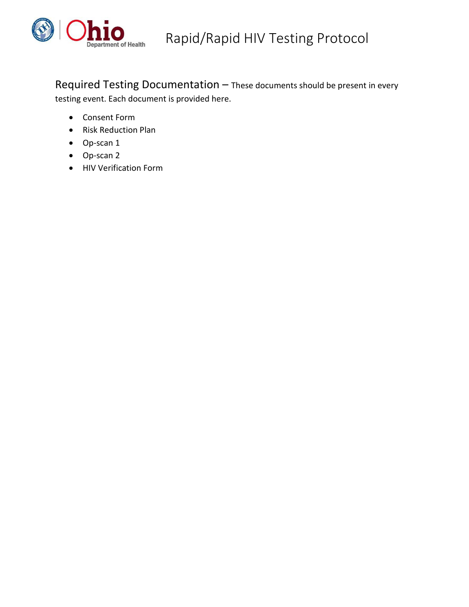

Required Testing Documentation – These documents should be present in every testing event. Each document is provided here.

- Consent Form
- Risk Reduction Plan
- Op-scan 1
- Op-scan 2
- HIV Verification Form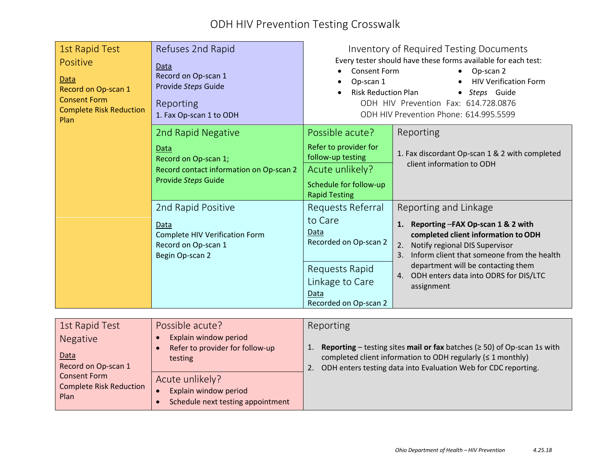# ODH HIV Prevention Testing Crosswalk

| <b>1st Rapid Test</b><br>Positive<br>Data<br>Record on Op-scan 1<br><b>Consent Form</b><br><b>Complete Risk Reduction</b><br>Plan | Refuses 2nd Rapid<br>Data<br>Record on Op-scan 1<br>Provide Steps Guide<br>Reporting<br>1. Fax Op-scan 1 to ODH | <b>Consent Form</b><br>Op-scan 1<br><b>Risk Reduction Plan</b><br>$\bullet$ | Inventory of Required Testing Documents<br>Every tester should have these forms available for each test:<br>Op-scan 2<br><b>HIV Verification Form</b><br>Steps Guide<br>$\bullet$<br>ODH HIV Prevention Fax: 614.728.0876<br>ODH HIV Prevention Phone: 614.995.5599 |
|-----------------------------------------------------------------------------------------------------------------------------------|-----------------------------------------------------------------------------------------------------------------|-----------------------------------------------------------------------------|---------------------------------------------------------------------------------------------------------------------------------------------------------------------------------------------------------------------------------------------------------------------|
|                                                                                                                                   | 2nd Rapid Negative                                                                                              | Possible acute?                                                             | Reporting                                                                                                                                                                                                                                                           |
|                                                                                                                                   | Data<br>Record on Op-scan 1;                                                                                    | Refer to provider for<br>follow-up testing                                  | 1. Fax discordant Op-scan 1 & 2 with completed<br>client information to ODH                                                                                                                                                                                         |
|                                                                                                                                   | Record contact information on Op-scan 2<br>Provide Steps Guide                                                  | Acute unlikely?                                                             |                                                                                                                                                                                                                                                                     |
|                                                                                                                                   |                                                                                                                 | Schedule for follow-up<br><b>Rapid Testing</b>                              |                                                                                                                                                                                                                                                                     |
|                                                                                                                                   | 2nd Rapid Positive                                                                                              | Requests Referral                                                           | Reporting and Linkage                                                                                                                                                                                                                                               |
|                                                                                                                                   | Data                                                                                                            | to Care<br>Data                                                             | Reporting -FAX Op-scan 1 & 2 with<br>1.                                                                                                                                                                                                                             |
|                                                                                                                                   | <b>Complete HIV Verification Form</b><br>Record on Op-scan 1                                                    | Recorded on Op-scan 2                                                       | completed client information to ODH<br>Notify regional DIS Supervisor<br>2.                                                                                                                                                                                         |
|                                                                                                                                   | Begin Op-scan 2                                                                                                 | Requests Rapid                                                              | Inform client that someone from the health<br>3.<br>department will be contacting them                                                                                                                                                                              |
|                                                                                                                                   |                                                                                                                 | Linkage to Care                                                             | ODH enters data into ODRS for DIS/LTC<br>4.<br>assignment                                                                                                                                                                                                           |
|                                                                                                                                   |                                                                                                                 | Data<br>Recorded on Op-scan 2                                               |                                                                                                                                                                                                                                                                     |

| 1st Rapid Test                                  | Possible acute?                                                               | Reporting                                                                                                                                                                                                                          |
|-------------------------------------------------|-------------------------------------------------------------------------------|------------------------------------------------------------------------------------------------------------------------------------------------------------------------------------------------------------------------------------|
| Negative<br>Data<br>Record on Op-scan 1         | Explain window period<br>Refer to provider for follow-up<br>testing           | <b>Reporting</b> – testing sites <b>mail or fax</b> batches ( $\geq$ 50) of Op-scan 1s with<br>completed client information to ODH regularly $( \leq 1$ monthly)<br>ODH enters testing data into Evaluation Web for CDC reporting. |
| Consent Form<br>Complete Risk Reduction<br>Plan | Acute unlikely?<br>Explain window period<br>Schedule next testing appointment |                                                                                                                                                                                                                                    |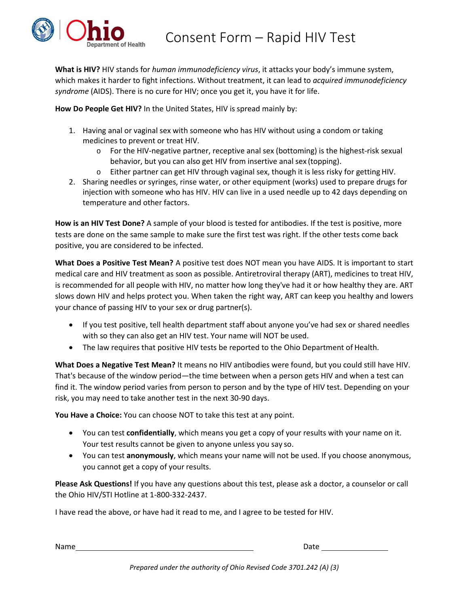

**What is HIV?** HIV stands for *human immunodeficiency virus*, it attacks your body's immune system, which makes it harder to fight infections. Without treatment, it can lead to *acquired immunodeficiency syndrome* (AIDS). There is no cure for HIV; once you get it, you have it for life.

**How Do People Get HIV?** In the United States, HIV is spread mainly by:

- 1. Having anal or vaginal sex with someone who has HIV without using a condom or taking medicines to prevent or treat HIV.
	- o For the HIV-negative partner, receptive anal sex (bottoming) is the highest-risk sexual behavior, but you can also get HIV from insertive anal sex (topping).
	- o Either partner can get HIV through vaginal sex, though it is less risky for getting HIV.
- 2. Sharing needles or syringes, rinse water, or other equipment (works) used to prepare drugs for injection with someone who has HIV. HIV can live in a used needle up to 42 days depending on temperature and other factors.

**How is an HIV Test Done?** A sample of your blood is tested for antibodies. If the test is positive, more tests are done on the same sample to make sure the first test was right. If the other tests come back positive, you are considered to be infected.

**What Does a Positive Test Mean?** A positive test does NOT mean you have AIDS. It is important to start medical care an[d HIV treatment a](https://www.hiv.gov/hiv-basics/staying-in-hiv-care/hiv-treatment/hiv-treatment-overview)s soon as possible. Antiretroviral therapy (ART), medicines to treat HIV, is recommended for all people with HIV, no matter how long they've had it or how healthy they are. ART slows down HIV and helps protect you. When taken the right way, ART can keep you healthy and lowers your chance of passing HIV to your sex or drug partner(s).

- If you test positive, tell health department staff about anyone you've had sex or shared needles with so they can also get an HIV test. Your name will NOT be used.
- The law requires that positive HIV tests be reported to the Ohio Department of Health.

**What Does a Negative Test Mean?** It means no HIV antibodies were found, but you could still have HIV. That's because of the window period—the time between when a person gets HIV and when a test can find it. The window period varies from person to person and by the type of HIV test. Depending on your risk, you may need to take another test in the next 30-90 days.

**You Have a Choice:** You can choose NOT to take this test at any point.

- You can test **confidentially**, which means you get a copy of your results with your name on it. Your test results cannot be given to anyone unless you say so.
- You can test **anonymously**, which means your name will not be used. If you choose anonymous, you cannot get a copy of your results.

**Please Ask Questions!** If you have any questions about this test, please ask a doctor, a counselor or call the Ohio HIV/STI Hotline at 1-800-332-2437.

I have read the above, or have had it read to me, and I agree to be tested for HIV.

Name Date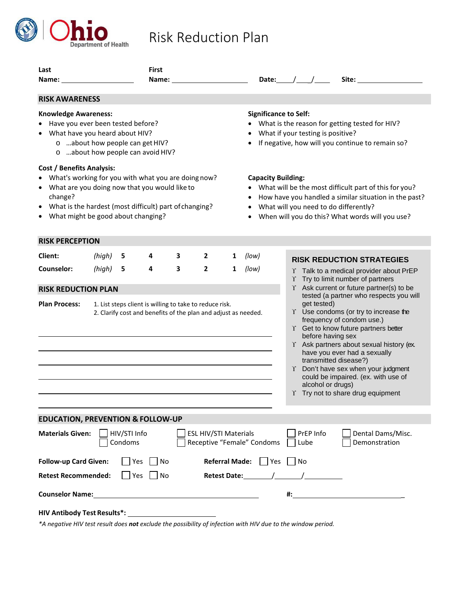

#### **Last First Name: Name: Date:** */ \_\_/ Site:* **Site: RISK AWARENESS Knowledge Awareness:** • Have you ever been tested before? • What have you heard about HIV? o …about how people can getHIV? o …about how people can avoid HIV? **Cost / Benefits Analysis:** • What's working for you with what you are doing now? • What are you doing now that you would like to change? • What is the hardest (most difficult) part ofchanging? • What might be good about changing? **Significance to Self:** • What is the reason for getting tested for HIV? What if your testing is positive? If negative, how will you continue to remain so? **Capacity Building:** • What will be the most difficult part of this for you? • How have you handled a similar situation in the past? • What will you need to do differently? When will you do this? What words will you use? **RISK PERCEPTION Client:** *(high)* **5 4 3 2 1** *(low)* **Counselor:** *(high)* **5 4 3 2 1** *(low)* **RISK REDUCTION PLAN Plan Process:** 1. List steps client is willing to take to reduce risk. 2. Clarify cost and benefits of the plan and adjust as needed. **EDUCATION, PREVENTION & FOLLOW-UP Materials Given:** HIV/STI Info **ESL HIV/STI Materials** PrEP Info Dental Dams/Misc. Condoms **Receptive "Female" Condoms** Lube Demonstration **Follow-up Card Given:** Yes No **Referral Made:** Yes No **Retest Recommended:**  $\bigcap$  Yes  $\bigcap$  No **Retest Date:** / / **RISK REDUCTION STRATEGIES** ϒ Talk to a medical provider about PrEP ϒ Try to limit number of partners ϒ Ask current or future partner(s) to be tested (a partner who respects you will get tested) Y Use condoms (or try to increase the frequency of condom use.) Y Get to know future partners better before having sex Y Ask partners about sexual history (ex. have you ever had a sexually transmitted disease?) Y Don't have sex when your judgment could be impaired. (ex. with use of alcohol or drugs) Y Try not to share drug equipment

Risk Reduction Plan

**HIV Antibody Test Results\*:**

*\*A negative HIV test result does not exclude the possibility of infection with HIV due to the window period.*

**Counselor Name: #:** \_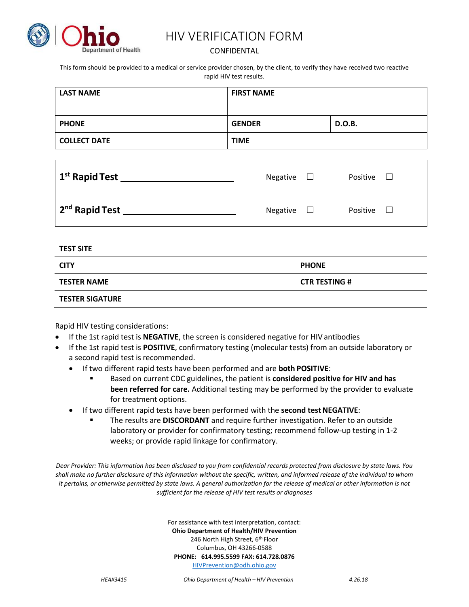

## HIV VERIFICATION FORM

### CONFIDENTAL

This form should be provided to a medical or service provider chosen, by the client, to verify they have received two reactive rapid HIV test results.

| <b>LAST NAME</b>           | <b>FIRST NAME</b>   |                    |
|----------------------------|---------------------|--------------------|
| <b>PHONE</b>               | <b>GENDER</b>       | D.O.B.             |
| <b>COLLECT DATE</b>        | <b>TIME</b>         |                    |
|                            |                     |                    |
| 1 <sup>st</sup> Rapid Test | Negative<br>$\perp$ | Positive<br>$\Box$ |

| 2 <sup>nd</sup> Rapid Test | Negative $\square$ | Positive |  |
|----------------------------|--------------------|----------|--|

**TEST SITE**

| <b>CITY</b>            | <b>PHONE</b>         |
|------------------------|----------------------|
| <b>TESTER NAME</b>     | <b>CTR TESTING #</b> |
| <b>TESTER SIGATURE</b> |                      |

Rapid HIV testing considerations:

- If the 1st rapid test is **NEGATIVE**, the screen is considered negative for HIV antibodies
- If the 1st rapid test is **POSITIVE**, confirmatory testing (molecular tests) from an outside laboratory or a second rapid test is recommended.
	- If two different rapid tests have been performed and are **both POSITIVE**:
		- Based on current CDC guidelines, the patient is **considered positive for HIV and has been referred for care.** Additional testing may be performed by the provider to evaluate for treatment options.
	- If two different rapid tests have been performed with the **second test NEGATIVE**:
		- The results are **DISCORDANT** and require further investigation. Refer to an outside laboratory or provider for confirmatory testing; recommend follow-up testing in 1-2 weeks; or provide rapid linkage for confirmatory.

*Dear Provider: This information has been disclosed to you from confidential records protected from disclosure by state laws. You shall make no further disclosure of this information without the specific, written, and informed release of the individual to whom it pertains, or otherwise permitted by state laws. A general authorization for the release of medical or other information is not sufficient for the release of HIV test results or diagnoses*

> For assistance with test interpretation, contact: **Ohio Department of Health/HIV Prevention**  246 North High Street, 6<sup>th</sup> Floor Columbus, OH 43266-0588 **PHONE: 614.995.5599 FAX: 614.728.0876** [HIVPrevention@odh.ohio.gov](mailto:HIVPrevention@odh.ohio.gov)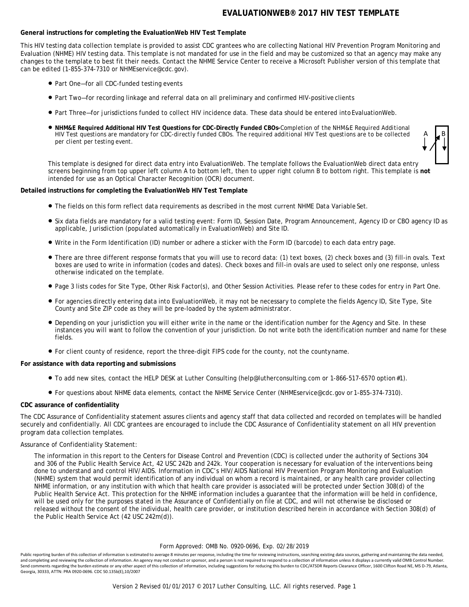#### **General instructions for completing the EvaluationWeb HIV Test Template**

This HIV testing data collection template is provided to assist CDC grantees who are collecting National HIV Prevention Program Monitoring and Evaluation (NHME) HIV testing data. This template is not mandated for use in the field and may be customized so that an agency may make any changes to the template to best fit their needs. Contact the NHME Service Center to receive a Microsoft Publisher version of this template that can be edited (1-855-374-7310 or NHMEservice@cdc.gov).

- Part One—for all CDC-funded testing events
- Part Two—for recording linkage and referral data on all preliminary and confirmed HIV-positive clients
- Part Three—for jurisdictions funded to collect HIV incidence data. These data should be entered intoEvaluationWeb.
- **NHM&E Required Additional HIV Test Questions for CDC-Directly Funded CBOs***-Completion of the NHM&E Required Additional HIV Test questions are mandatory for CDC-directly funded CBOs. The required additional HIV Test questions are to be collected per client per testing event.*

A B

This template is designed for direct data entry into EvaluationWeb. The template follows the EvaluationWeb direct data entry screens beginning from top upper left column A to bottom left, then to upper right column B to bottom right. This template is **not**  intended for use as an Optical Character Recognition (OCR) document.

#### **Detailed instructions for completing the EvaluationWeb HIV Test Template**

- The fields on this form reflect data requirements as described in the most current NHME Data Variable Set.
- Six data fields are mandatory for a valid testing event: Form ID, Session Date, Program Announcement, Agency ID or CBO agency ID as applicable, Jurisdiction (populated automatically in EvaluationWeb) and Site ID.
- Write in the Form Identification (ID) number or adhere a sticker with the Form ID (barcode) to each data entry page.
- There are three different response formats that you will use to record data: (1) text boxes, (2) check boxes and (3) fill-in ovals. Text boxes are used to write in information (codes and dates). Check boxes and fill-in ovals are used to select only one response, unless otherwise indicated on the template.
- Page 3 lists codes for Site Type, Other Risk Factor(s), and Other Session Activities. Please refer to these codes for entry in Part One.
- For agencies directly entering data into EvaluationWeb, it may not be necessary to complete the fields Agency ID, Site Type, Site County and Site ZIP code as they will be pre-loaded by the system administrator.
- Depending on your jurisdiction you will either write in the name or the identification number for the Agency and Site. In these instances you will want to follow the convention of your jurisdiction. Do not write both the identification number and name for these fields.
- For client county of residence, report the three-digit FIPS code for the county, not the countyname.

#### **For assistance with data reporting and submissions**

- To add new sites, contact the HELP DESK at Luther Consulting [\(help@lutherconsulting.com o](mailto:(help@lutherconsulting.com)r 1-866-517-6570 option#1).
- For questions about NHME data elements, contact the NHME Service Center [\(NHMEservice@cdc.gov o](mailto:(NHMEservice@cdc.gov)r 1-855-374-7310).

#### **CDC assurance of confidentiality**

The CDC Assurance of Confidentiality statement assures clients and agency staff that data collected and recorded on templates will be handled securely and confidentially. All CDC grantees are encouraged to include the CDC Assurance of Confidentiality statement on all HIV prevention program data collection templates.

#### Assurance of Confidentiality Statement:

The information in this report to the Centers for Disease Control and Prevention (CDC) is collected under the authority of Sections 304 and 306 of the Public Health Service Act, 42 USC 242b and 242k. Your cooperation is necessary for evaluation of the interventions being done to understand and control HIV/AIDS. Information in CDC's HIV/AIDS National HIV Prevention Program Monitoring and Evaluation (NHME) system that would permit identification of any individual on whom a record is maintained, or any health care provider collecting NHME information, or any institution with which that health care provider is associated will be protected under Section 308(d) of the Public Health Service Act. This protection for the NHME information includes a guarantee that the information will be held in confidence, will be used only for the purposes stated in the Assurance of Confidentially on file at CDC, and will not otherwise be disclosed or released without the consent of the individual, health care provider, or institution described herein in accordance with Section 308(d) of the Public Health Service Act (42 USC 242m(d)).

#### Form Approved: OMB No. 0920-0696, Exp. 02/28/2019

Public reporting burden of this collection of information is estimated to average 8 minutes per response, including the time for reviewing instructions, searching existing data sources, gathering and maintaining the data n and completing and reviewing the collection of information. An agency may not conduct or sponsor, and a person is not required to respond to a collection of information unless it displays a currently valid OMB Control Numb Send comments regarding the burden estimate or any other aspect of this collection of information, including suggestions for reducing this burden to CDC/ATSDR Reports Clearance Officer, 1600 Clifton Road NE, MS D-79, Atlan Georgia, 30333, ATTN: PRA 0920-0696. CDC 50.135b(E),10/2007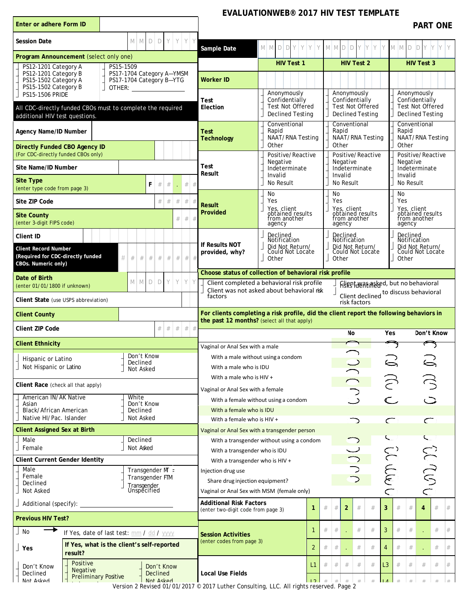| Enter or adhere Form ID                                                                                                                                                                                                 |                                     |                              |            |      |        |                                                                      |                                                                                                                                        |                                                                                     |           | <b>PART ONE</b>                                                                     |
|-------------------------------------------------------------------------------------------------------------------------------------------------------------------------------------------------------------------------|-------------------------------------|------------------------------|------------|------|--------|----------------------------------------------------------------------|----------------------------------------------------------------------------------------------------------------------------------------|-------------------------------------------------------------------------------------|-----------|-------------------------------------------------------------------------------------|
| <b>Session Date</b>                                                                                                                                                                                                     | D<br>M I<br>M.                      | D                            | Y          |      | YYY    | Sample Date                                                          | YYY<br>D<br>Y.<br>M M<br>D                                                                                                             | $M$ $M$ $D$ $D$ $Y$ $Y$ $Y$                                                         |           | M M D D Y Y                                                                         |
| Program Announcement (select only one)                                                                                                                                                                                  |                                     |                              |            |      |        |                                                                      | <b>HIV Test 1</b>                                                                                                                      | <b>HIV Test 2</b>                                                                   |           | <b>HIV Test 3</b>                                                                   |
| PS12-1201 Category A<br>PS15-1509<br>PS12-1201 Category B<br>PS17-1704 Category A-YMSM<br>PS15-1502 Category A<br>PS17-1704 Category B-YTG<br>PS15-1502 Category B<br>OTHER: <b>All and Street Street Street Street</b> |                                     |                              |            |      |        | Worker ID                                                            |                                                                                                                                        |                                                                                     |           |                                                                                     |
| <b>PS15-1506 PRIDE</b><br>All CDC-directly funded CBOs must to complete the required<br>additional HIV test questions.                                                                                                  |                                     |                              |            |      |        | <b>Test</b><br>Election                                              | Anonymously<br>Confidentially<br><b>Test Not Offered</b><br><b>Declined Testing</b>                                                    | Anonymously<br>Confidentially<br><b>Test Not Offered</b><br><b>Declined Testing</b> |           | Anonymously<br>Confidentially<br><b>Test Not Offered</b><br><b>Declined Testing</b> |
| Agency Name/ID Number                                                                                                                                                                                                   |                                     |                              |            |      |        | Test<br><b>Technology</b>                                            | Conventional<br>Rapid<br>NAAT/RNA Testing                                                                                              | Conventional<br>Rapid<br>NAAT/RNA Testing                                           | Rapid     | Conventional<br>NAAT/RNA Testing                                                    |
| <b>Directly Funded CBO Agency ID</b><br>(For CDC-directly funded CBOs only)                                                                                                                                             |                                     |                              |            |      |        |                                                                      | Other<br>Positive/Reactive                                                                                                             | Other<br>Positive/Reactive                                                          | Other     | Positive/Reactive                                                                   |
| Site Name/ID Number                                                                                                                                                                                                     |                                     |                              |            |      |        | Test<br>Result                                                       | Negative<br>Indeterminate                                                                                                              | Negative<br>Indeterminate                                                           |           | Negative<br>Indeterminate                                                           |
| <b>Site Type</b><br>(enter type code from page 3)                                                                                                                                                                       | F                                   | #                            | #          |      | #<br># |                                                                      | Invalid<br>No Result                                                                                                                   | Invalid<br>No Result                                                                | Invalid   | No Result                                                                           |
| Site ZIP Code                                                                                                                                                                                                           |                                     | #                            | #          | $\#$ | #      | <b>Result</b>                                                        | No<br>Yes                                                                                                                              | No<br>Yes                                                                           | No<br>Yes |                                                                                     |
| <b>Site County</b><br>(enter 3-digit FIPS code)                                                                                                                                                                         |                                     |                              |            | #    | #      | Provided                                                             | Yes, client<br>obtained results<br>from another<br>agency                                                                              | Yes, client<br>obtained results<br>from another<br>agency                           | agency    | Yes, client<br>obtained results<br>from another                                     |
| Client ID                                                                                                                                                                                                               |                                     |                              |            |      |        |                                                                      | Declined                                                                                                                               | Declined                                                                            |           | Declined                                                                            |
| <b>Client Record Number</b><br>(Required for CDC-directly funded<br>#<br>CBOs. Numeric only)                                                                                                                            | #<br>#<br>#                         | #                            | #          | #    | $#$ #  | If Results NOT<br>provided, why?                                     | Notification<br>Did Not Return/<br>Could Not Locate<br>Other                                                                           | Notification<br>Did Not Return/<br>Could Not Locate<br>Other                        | Other     | Notification<br>Did Not Return/<br>Could Not Locate                                 |
| Date of Birth                                                                                                                                                                                                           |                                     |                              |            |      |        |                                                                      | Choose status of collection of behavioral risk profile                                                                                 |                                                                                     |           |                                                                                     |
| (enter 01/01/1800 if unknown)                                                                                                                                                                                           | M M<br>D                            | D                            | Y          | Y    | YY     | factors                                                              | Client completed a behavioral risk profile<br>Client was not asked about behavioral risk                                               | Figest Heatingted, but no behavioral<br>Client declined to discuss behavioral       |           |                                                                                     |
| Client State (use USPS abbreviation)                                                                                                                                                                                    |                                     |                              |            |      |        |                                                                      |                                                                                                                                        | risk factors                                                                        |           |                                                                                     |
|                                                                                                                                                                                                                         |                                     |                              |            |      |        |                                                                      |                                                                                                                                        |                                                                                     |           |                                                                                     |
| <b>Client County</b>                                                                                                                                                                                                    |                                     |                              |            |      |        |                                                                      | For clients completing a risk profile, did the client report the following behaviors in<br>the past 12 months? (select all that apply) |                                                                                     |           |                                                                                     |
| Client ZIP Code                                                                                                                                                                                                         |                                     | $\#$                         | #          | $\#$ | #<br># |                                                                      |                                                                                                                                        | No                                                                                  | Yes       | Don't Know                                                                          |
| <b>Client Ethnicity</b>                                                                                                                                                                                                 |                                     |                              |            |      |        | Vaginal or Anal Sex with a male                                      |                                                                                                                                        |                                                                                     |           |                                                                                     |
| Hispanic or Latino<br>Not Hispanic or Latino                                                                                                                                                                            | Don't Know<br>Declined<br>Not Asked |                              |            |      |        | With a male who is IDU                                               | With a male without using a condom                                                                                                     |                                                                                     |           |                                                                                     |
|                                                                                                                                                                                                                         |                                     |                              |            |      |        | With a male who is HIV +                                             |                                                                                                                                        |                                                                                     |           |                                                                                     |
| Client Race (check all that apply)<br>American IN/AK Native                                                                                                                                                             | White                               |                              |            |      |        | Vaginal or Anal Sex with a female                                    |                                                                                                                                        |                                                                                     |           |                                                                                     |
| Asian<br>Black/African American                                                                                                                                                                                         | Don't Know<br>Declined              |                              |            |      |        | With a female who is IDU                                             | With a female without using a condom                                                                                                   |                                                                                     |           |                                                                                     |
| Native HI/Pac. Islander                                                                                                                                                                                                 | Not Asked                           |                              |            |      |        | With a female who is HIV +                                           |                                                                                                                                        |                                                                                     | $\subset$ |                                                                                     |
| <b>Client Assigned Sex at Birth</b>                                                                                                                                                                                     |                                     |                              |            |      |        |                                                                      | Vaginal or Anal Sex with a transgender person                                                                                          |                                                                                     |           |                                                                                     |
| Male<br>Female                                                                                                                                                                                                          | Declined<br>Not Asked               |                              |            |      |        |                                                                      | With a transgender without using a condom                                                                                              |                                                                                     | ╰         | ╰                                                                                   |
| <b>Client Current Gender Identity</b>                                                                                                                                                                                   |                                     |                              |            |      |        | With a transgender who is IDU<br>With a transgender who is HIV +     |                                                                                                                                        |                                                                                     |           |                                                                                     |
| Male                                                                                                                                                                                                                    | Transgender $M \in$                 |                              |            |      |        | Injection drug use                                                   |                                                                                                                                        |                                                                                     |           |                                                                                     |
| Female<br>Declined                                                                                                                                                                                                      | Transgender FTM                     |                              |            |      |        | Share drug injection equipment?                                      |                                                                                                                                        |                                                                                     |           |                                                                                     |
| Not Asked                                                                                                                                                                                                               | Transgender<br>Unspecified          |                              |            |      |        | Vaginal or Anal Sex with MSM (female only)                           |                                                                                                                                        |                                                                                     | 0 MW 0    |                                                                                     |
| Additional (specify):<br><b>Previous HIV Test?</b>                                                                                                                                                                      |                                     |                              |            |      |        | <b>Additional Risk Factors</b><br>(enter two-digit code from page 3) | $\mathbf{1}$                                                                                                                           | $\overline{2}$<br>$\#$<br>#<br>#<br>#                                               | 3<br>#    | #<br>4<br>#                                                                         |
| No                                                                                                                                                                                                                      |                                     |                              |            |      |        |                                                                      | -1                                                                                                                                     | $\#$<br>#<br>#<br>#                                                                 | 3<br>#    | $\#$<br>$\#$                                                                        |
| If Yes, date of last test: mm / dd / yyyy<br>If Yes, what is the client's self-reported<br>Yes                                                                                                                          |                                     |                              |            |      |        | <b>Session Activities</b><br>(enter codes from page 3)               | $\overline{2}$                                                                                                                         | $\#$<br>#<br>#<br>#                                                                 | $\#$<br>4 | $\#$<br>#                                                                           |
| result?<br>Positive<br>Don't Know<br>Negative<br>Declined<br><b>Preliminary Positive</b><br>Not Asked                                                                                                                   |                                     | <b>Declined</b><br>Not Asked | Don't Know |      |        | <b>Local Use Fields</b>                                              | L1                                                                                                                                     | #<br>#<br>#<br>#                                                                    | L3<br>#   | #<br>#<br>#                                                                         |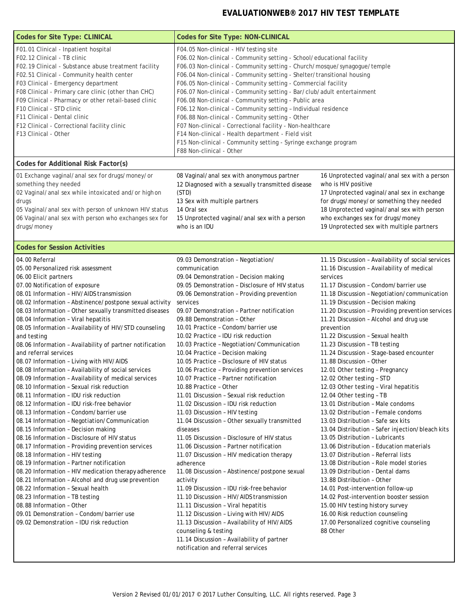| <b>Codes for Site Type: CLINICAL</b>                                                                                                                                                                                                                                                                                                                                                                                                                                                                                                                                                                                                                                                                                                                                                                                                                                                                                                                                                                                                                                                                                                                                                                                                                                                                                                                                                                                     | <b>Codes for Site Type: NON-CLINICAL</b>                                                                                                                                                                                                                                                                                                                                                                                                                                                                                                                                                                                                                                                                                                                                                                                                                                                                                                                                                                                                                                                                                                                                                                                                                                                                                                                          |                                                                                                                                                                                                                                                                                                                                                                                                                                                                                                                                                                                                                                                                                                                                                                                                                                                                                                                                                                                                                                                                                                                                                                                                                                                                   |  |  |  |
|--------------------------------------------------------------------------------------------------------------------------------------------------------------------------------------------------------------------------------------------------------------------------------------------------------------------------------------------------------------------------------------------------------------------------------------------------------------------------------------------------------------------------------------------------------------------------------------------------------------------------------------------------------------------------------------------------------------------------------------------------------------------------------------------------------------------------------------------------------------------------------------------------------------------------------------------------------------------------------------------------------------------------------------------------------------------------------------------------------------------------------------------------------------------------------------------------------------------------------------------------------------------------------------------------------------------------------------------------------------------------------------------------------------------------|-------------------------------------------------------------------------------------------------------------------------------------------------------------------------------------------------------------------------------------------------------------------------------------------------------------------------------------------------------------------------------------------------------------------------------------------------------------------------------------------------------------------------------------------------------------------------------------------------------------------------------------------------------------------------------------------------------------------------------------------------------------------------------------------------------------------------------------------------------------------------------------------------------------------------------------------------------------------------------------------------------------------------------------------------------------------------------------------------------------------------------------------------------------------------------------------------------------------------------------------------------------------------------------------------------------------------------------------------------------------|-------------------------------------------------------------------------------------------------------------------------------------------------------------------------------------------------------------------------------------------------------------------------------------------------------------------------------------------------------------------------------------------------------------------------------------------------------------------------------------------------------------------------------------------------------------------------------------------------------------------------------------------------------------------------------------------------------------------------------------------------------------------------------------------------------------------------------------------------------------------------------------------------------------------------------------------------------------------------------------------------------------------------------------------------------------------------------------------------------------------------------------------------------------------------------------------------------------------------------------------------------------------|--|--|--|
| F01.01 Clinical - Inpatient hospital<br>F02.12 Clinical - TB clinic<br>F02.19 Clinical - Substance abuse treatment facility<br>F02.51 Clinical - Community health center<br>F03 Clinical - Emergency department<br>F08 Clinical - Primary care clinic (other than CHC)<br>F09 Clinical - Pharmacy or other retail-based clinic<br>F10 Clinical - STD clinic<br>F11 Clinical - Dental clinic<br>F12 Clinical - Correctional facility clinic<br>F13 Clinical - Other                                                                                                                                                                                                                                                                                                                                                                                                                                                                                                                                                                                                                                                                                                                                                                                                                                                                                                                                                       | F04.05 Non-clinical - HIV testing site<br>F06.02 Non-clinical - Community setting - School/educational facility<br>F06.03 Non-clinical - Community setting - Church/mosque/synagogue/temple<br>F06.04 Non-clinical - Community setting - Shelter/transitional housing<br>F06.05 Non-clinical - Community setting - Commercial facility<br>F06.07 Non-clinical - Community setting - Bar/club/adult entertainment<br>F06.08 Non-clinical - Community setting - Public area<br>F06.12 Non-clinical - Community setting - Individual residence<br>F06.88 Non-clinical - Community setting - Other<br>F07 Non-clinical - Correctional facility - Non-healthcare<br>F14 Non-clinical - Health department - Field visit<br>F15 Non-clinical - Community setting - Syringe exchange program<br>F88 Non-clinical - Other                                                                                                                                                                                                                                                                                                                                                                                                                                                                                                                                                  |                                                                                                                                                                                                                                                                                                                                                                                                                                                                                                                                                                                                                                                                                                                                                                                                                                                                                                                                                                                                                                                                                                                                                                                                                                                                   |  |  |  |
| Codes for Additional Risk Factor(s)                                                                                                                                                                                                                                                                                                                                                                                                                                                                                                                                                                                                                                                                                                                                                                                                                                                                                                                                                                                                                                                                                                                                                                                                                                                                                                                                                                                      |                                                                                                                                                                                                                                                                                                                                                                                                                                                                                                                                                                                                                                                                                                                                                                                                                                                                                                                                                                                                                                                                                                                                                                                                                                                                                                                                                                   |                                                                                                                                                                                                                                                                                                                                                                                                                                                                                                                                                                                                                                                                                                                                                                                                                                                                                                                                                                                                                                                                                                                                                                                                                                                                   |  |  |  |
| 01 Exchange vaginal/anal sex for drugs/money/or<br>something they needed<br>02 Vaginal/anal sex while intoxicated and/or highon<br>drugs<br>05 Vaginal/anal sex with person of unknown HIV status<br>06 Vaginal/anal sex with person who exchanges sex for<br>drugs/money                                                                                                                                                                                                                                                                                                                                                                                                                                                                                                                                                                                                                                                                                                                                                                                                                                                                                                                                                                                                                                                                                                                                                | 08 Vaginal/anal sex with anonymous partner<br>12 Diagnosed with a sexually transmitted disease<br>(STD)<br>13 Sex with multiple partners<br>14 Oral sex<br>15 Unprotected vaginal/anal sex with a person<br>who is an IDU                                                                                                                                                                                                                                                                                                                                                                                                                                                                                                                                                                                                                                                                                                                                                                                                                                                                                                                                                                                                                                                                                                                                         | 16 Unprotected vaginal/anal sex with a person<br>who is HIV positive<br>17 Unprotected vaginal/anal sex in exchange<br>for drugs/money/or something they needed<br>18 Unprotected vaginal/anal sex with person<br>who exchanges sex for drugs/money<br>19 Unprotected sex with multiple partners                                                                                                                                                                                                                                                                                                                                                                                                                                                                                                                                                                                                                                                                                                                                                                                                                                                                                                                                                                  |  |  |  |
| <b>Codes for Session Activities</b>                                                                                                                                                                                                                                                                                                                                                                                                                                                                                                                                                                                                                                                                                                                                                                                                                                                                                                                                                                                                                                                                                                                                                                                                                                                                                                                                                                                      |                                                                                                                                                                                                                                                                                                                                                                                                                                                                                                                                                                                                                                                                                                                                                                                                                                                                                                                                                                                                                                                                                                                                                                                                                                                                                                                                                                   |                                                                                                                                                                                                                                                                                                                                                                                                                                                                                                                                                                                                                                                                                                                                                                                                                                                                                                                                                                                                                                                                                                                                                                                                                                                                   |  |  |  |
| 04.00 Referral<br>05.00 Personalized risk assessment<br>06.00 Elicit partners<br>07.00 Notification of exposure<br>08.01 Information - HIV/AIDS transmission<br>08.02 Information - Abstinence/postpone sexual activity<br>08.03 Information - Other sexually transmitted diseases<br>08.04 Information - Viral hepatitis<br>08.05 Information - Availability of HIV/STD counseling<br>and testing<br>08.06 Information - Availability of partner notification<br>and referral services<br>08.07 Information - Living with HIV/AIDS<br>08.08 Information - Availability of social services<br>08.09 Information - Availability of medical services<br>08.10 Information - Sexual risk reduction<br>08.11 Information - IDU risk reduction<br>08.12 Information - IDU risk-free behavior<br>08.13 Information - Condom/barrier use<br>08.14 Information - Negotiation/Communication<br>08.15 Information - Decision making<br>08.16 Information - Disclosure of HIV status<br>08.17 Information - Providing prevention services<br>08.18 Information - HIV testing<br>08.19 Information - Partner notification<br>08.20 Information - HIV medication therapy adherence<br>08.21 Information - Alcohol and drug use prevention<br>08.22 Information - Sexual health<br>08.23 Information - TB testing<br>08.88 Information - Other<br>09.01 Demonstration - Condom/barrier use<br>09.02 Demonstration - IDU risk reduction | 09.03 Demonstration - Negotiation/<br>communication<br>09.04 Demonstration - Decision making<br>09.05 Demonstration - Disclosure of HIV status<br>09.06 Demonstration - Providing prevention<br>services<br>09.07 Demonstration - Partner notification<br>09.88 Demonstration - Other<br>10.01 Practice - Condom/barrier use<br>10.02 Practice - IDU risk reduction<br>10.03 Practice - Negotiation/Communication<br>10.04 Practice - Decision making<br>10.05 Practice - Disclosure of HIV status<br>10.06 Practice - Providing prevention services<br>10.07 Practice - Partner notification<br>10.88 Practice - Other<br>11.01 Discussion - Sexual risk reduction<br>11.02 Discussion - IDU risk reduction<br>11.03 Discussion - HIV testing<br>11.04 Discussion - Other sexually transmitted<br>diseases<br>11.05 Discussion - Disclosure of HIV status<br>11.06 Discussion - Partner notification<br>11.07 Discussion - HIV medication therapy<br>adherence<br>11.08 Discussion - Abstinence/postpone sexual<br>activity<br>11.09 Discussion - IDU risk-free behavior<br>11.10 Discussion - HIV/AIDS transmission<br>11.11 Discussion - Viral hepatitis<br>11.12 Discussion - Living with HIV/AIDS<br>11.13 Discussion - Availability of HIV/AIDS<br>counseling & testing<br>11.14 Discussion - Availability of partner<br>notification and referral services | 11.15 Discussion - Availability of social services<br>11.16 Discussion - Availability of medical<br>services<br>11.17 Discussion - Condom/barrier use<br>11.18 Discussion - Negotiation/communication<br>11.19 Discussion - Decision making<br>11.20 Discussion - Providing prevention services<br>11.21 Discussion - Alcohol and drug use<br>prevention<br>11.22 Discussion - Sexual health<br>11.23 Discussion - TB testing<br>11.24 Discussion - Stage-based encounter<br>11.88 Discussion - Other<br>12.01 Other testing - Pregnancy<br>12.02 Other testing - STD<br>12.03 Other testing - Viral hepatitis<br>12.04 Other testing - TB<br>13.01 Distribution - Male condoms<br>13.02 Distribution - Female condoms<br>13.03 Distribution - Safe sex kits<br>13.04 Distribution - Safer injection/bleach kits<br>13.05 Distribution - Lubricants<br>13.06 Distribution - Education materials<br>13.07 Distribution - Referral lists<br>13.08 Distribution - Role model stories<br>13.09 Distribution - Dental dams<br>13.88 Distribution - Other<br>14.01 Post-intervention follow-up<br>14.02 Post-intervention booster session<br>15.00 HIV testing history survey<br>16.00 Risk reduction counseling<br>17.00 Personalized cognitive counseling<br>88 Other |  |  |  |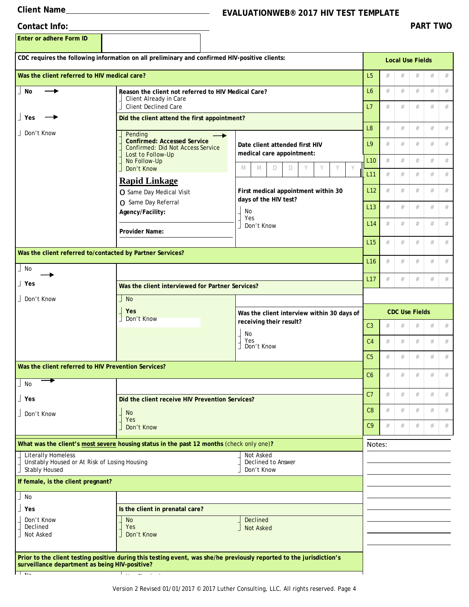## **Client Name EVALUATIONWEB® 2017 HIV TEST TEMPLATE**

| Contact Info: |
|---------------|
|               |

**Enter or adhere Form ID**

|                                                                            | CDC requires the following information on all preliminary and confirmed HIV-positive clients:                        |                                                             |                       |   | <b>Local Use Fields</b> |      |      |        |  |  |  |
|----------------------------------------------------------------------------|----------------------------------------------------------------------------------------------------------------------|-------------------------------------------------------------|-----------------------|---|-------------------------|------|------|--------|--|--|--|
| Was the client referred to HIV medical care?                               |                                                                                                                      |                                                             |                       |   |                         | #    | $\#$ | #      |  |  |  |
| No                                                                         | Client Already in Care<br><b>Client Declined Care</b>                                                                | Reason the client not referred to HIV Medical Care?         |                       |   |                         |      |      | #<br># |  |  |  |
| ∣ Yes                                                                      |                                                                                                                      | Did the client attend the first appointment?                |                       |   |                         |      |      |        |  |  |  |
| Don't Know                                                                 | Pending                                                                                                              |                                                             | L <sub>8</sub>        | # | #                       | #    | #    | #      |  |  |  |
|                                                                            | <b>Confirmed: Accessed Service</b><br><b>Confirmed: Did Not Access Service</b><br>Lost to Follow-Up                  | Date client attended first HIV<br>medical care appointment: | L9                    | # | #                       | #    | #    | #      |  |  |  |
|                                                                            | No Follow-Up<br>Don't Know                                                                                           | Y<br>Y<br>Y<br>M<br>M<br>D<br>D                             | L <sub>10</sub>       | # | #                       | #    | $\#$ | #      |  |  |  |
|                                                                            | <b>Rapid Linkage</b>                                                                                                 |                                                             | L <sub>11</sub>       | # | #                       | #    | #    | $\#$   |  |  |  |
|                                                                            | ○ Same Day Medical Visit                                                                                             | First medical appointment within 30                         | L12                   | # | #                       | #    | #    | #      |  |  |  |
|                                                                            | ○ Same Day Referral                                                                                                  | days of the HIV test?                                       | L <sub>13</sub>       | # | $\#$                    | #    | #    | $\#$   |  |  |  |
|                                                                            | Agency/Facility:                                                                                                     | No<br>Yes                                                   |                       | # | #                       |      | #    | $\#$   |  |  |  |
|                                                                            | Provider Name:                                                                                                       | Don't Know                                                  | L <sub>14</sub>       |   |                         | #    |      |        |  |  |  |
|                                                                            | Was the client referred to/contacted by Partner Services?                                                            |                                                             | L15                   | # | $\#$                    | #    | #    | $\#$   |  |  |  |
|                                                                            |                                                                                                                      |                                                             | L <sub>16</sub>       | # | $\#$                    | #    | #    | $\#$   |  |  |  |
| No                                                                         |                                                                                                                      |                                                             | L17                   | # | #                       | #    | #    | $\#$   |  |  |  |
| 」Yes                                                                       | Was the client interviewed for Partner Services?                                                                     |                                                             |                       |   |                         |      |      |        |  |  |  |
| Don't Know                                                                 | <b>No</b>                                                                                                            |                                                             |                       |   |                         |      |      |        |  |  |  |
|                                                                            | Yes<br>Don't Know                                                                                                    | Was the client interview within 30 days of                  | <b>CDC Use Fields</b> |   |                         |      |      |        |  |  |  |
|                                                                            |                                                                                                                      | receiving their result?<br>No                               | C <sub>3</sub>        | # | $\#$                    | #    | #    | $\#$   |  |  |  |
|                                                                            |                                                                                                                      | Yes<br>Don't Know                                           | C <sub>4</sub>        | # | #                       | #    | #    | $\#$   |  |  |  |
|                                                                            |                                                                                                                      |                                                             |                       |   |                         | #    | #    | $\#$   |  |  |  |
| Was the client referred to HIV Prevention Services?                        |                                                                                                                      |                                                             |                       | # | $\#$                    | #    | #    | #      |  |  |  |
| No                                                                         |                                                                                                                      |                                                             | C6                    |   |                         |      |      |        |  |  |  |
| 」Yes                                                                       |                                                                                                                      | Did the client receive HIV Prevention Services?             |                       |   |                         | $\#$ | #    |        |  |  |  |
| Don't Know                                                                 | <b>No</b>                                                                                                            |                                                             |                       |   | #                       | #    | #    | #      |  |  |  |
|                                                                            | Don't Know                                                                                                           | Yes                                                         |                       | # | #                       | #    | #    | #      |  |  |  |
|                                                                            | What was the client's most severe housing status in the past 12 months (check only one)?                             |                                                             | Notes:                |   |                         |      |      |        |  |  |  |
| <b>Literally Homeless</b><br><b>Stably Housed</b>                          | Not Asked<br>Unstably Housed or At Risk of Losing Housing<br>Declined to Answer<br>Don't Know                        |                                                             |                       |   |                         |      |      |        |  |  |  |
| If female, is the client pregnant?                                         |                                                                                                                      |                                                             |                       |   |                         |      |      |        |  |  |  |
| No                                                                         |                                                                                                                      |                                                             |                       |   |                         |      |      |        |  |  |  |
| Yes                                                                        | Is the client in prenatal care?                                                                                      |                                                             |                       |   |                         |      |      |        |  |  |  |
| Don't Know<br>Declined<br>Not Asked                                        | <b>No</b><br>Yes<br>Don't Know                                                                                       | <b>Declined</b><br><b>Not Asked</b>                         |                       |   |                         |      |      |        |  |  |  |
| surveillance department as being HIV-positive?<br>$\overline{\phantom{a}}$ | Prior to the client testing positive during this testing event, was she/he previously reported to the jurisdiction's |                                                             |                       |   |                         |      |      |        |  |  |  |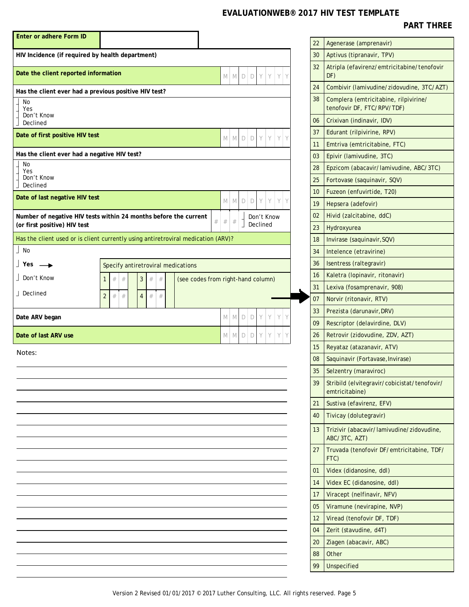| Enter or adhere Form ID                               |                                                                                   |                                    |      |   |        |             |   |            |        |
|-------------------------------------------------------|-----------------------------------------------------------------------------------|------------------------------------|------|---|--------|-------------|---|------------|--------|
| HIV Incidence (if required by health department)      |                                                                                   |                                    |      |   |        |             |   |            |        |
| Date the client reported information                  |                                                                                   |                                    | M    | M | D      | D           | Y | Y          | Y<br>Y |
| Has the client ever had a previous positive HIV test? |                                                                                   |                                    |      |   |        |             |   |            |        |
| No<br>Yes<br>Don't Know<br>Declined                   |                                                                                   |                                    |      |   |        |             |   |            |        |
| Date of first positive HIV test                       |                                                                                   |                                    | M    | M | $\Box$ | $\mathsf D$ | Y | Y          | Y<br>Y |
| Has the client ever had a negative HIV test?          |                                                                                   |                                    |      |   |        |             |   |            |        |
| No<br>Yes<br>Don't Know<br>Declined                   |                                                                                   |                                    |      |   |        |             |   |            |        |
| Date of last negative HIV test                        |                                                                                   |                                    | M    | M | D      | D           | Y | Y          | Y<br>Y |
| (or first positive) HIV test                          | Number of negative HIV tests within 24 months before the current                  | $\#$                               | $\#$ | # |        | Declined    |   | Don't Know |        |
|                                                       | Has the client used or is client currently using antiretroviral medication (ARV)? |                                    |      |   |        |             |   |            |        |
| $\vert$ No                                            |                                                                                   |                                    |      |   |        |             |   |            |        |
| $\vert$ Yes $\rightarrow$                             | Specify antiretroviral medications                                                |                                    |      |   |        |             |   |            |        |
| Don't Know                                            | $\#$<br>3<br>$#$<br>$\#$<br>$\#$<br>$\mathbf{1}$                                  | (see codes from right-hand column) |      |   |        |             |   |            |        |
| J Declined                                            | #<br>$\#$<br>#<br>$\overline{2}$<br>$\#$<br>$\overline{4}$                        |                                    |      |   |        |             |   |            |        |
| Date ARV began                                        |                                                                                   |                                    | M    | M | D      | D           | Y | Υ          | Y<br>Y |
| Date of last ARV use                                  | $\Box$<br>Y<br>Y<br>Y<br>M<br>M<br>D                                              |                                    |      |   | Y      |             |   |            |        |
| Notes:                                                |                                                                                   |                                    |      |   |        |             |   |            |        |
|                                                       |                                                                                   |                                    |      |   |        |             |   |            |        |
|                                                       |                                                                                   |                                    |      |   |        |             |   |            |        |
|                                                       |                                                                                   |                                    |      |   |        |             |   |            |        |
|                                                       |                                                                                   |                                    |      |   |        |             |   |            |        |
|                                                       |                                                                                   |                                    |      |   |        |             |   |            |        |
|                                                       |                                                                                   |                                    |      |   |        |             |   |            |        |
|                                                       |                                                                                   |                                    |      |   |        |             |   |            |        |
|                                                       |                                                                                   |                                    |      |   |        |             |   |            |        |
|                                                       |                                                                                   |                                    |      |   |        |             |   |            |        |
|                                                       |                                                                                   |                                    |      |   |        |             |   |            |        |
|                                                       |                                                                                   |                                    |      |   |        |             |   |            |        |
|                                                       |                                                                                   |                                    |      |   |        |             |   |            |        |
|                                                       |                                                                                   |                                    |      |   |        |             |   |            |        |
|                                                       |                                                                                   |                                    |      |   |        |             |   |            |        |
|                                                       |                                                                                   |                                    |      |   |        |             |   |            |        |

| 22 | Agenerase (amprenavir)                                              |
|----|---------------------------------------------------------------------|
| 30 | Aptivus (tipranavir, TPV)                                           |
| 32 | Atripla (efavirenz/emtricitabine/tenofovir<br>DF)                   |
| 24 | Combivir (lamivudine/zidovudine, 3TC/AZT)                           |
| 38 | Complera (emtricitabine, rilpivirine/<br>tenofovir DF, FTC/RPV/TDF) |
| 06 | Crixivan (indinavir, IDV)                                           |
| 37 | Edurant (rilpivirine, RPV)                                          |
| 11 | Emtriva (emtricitabine, FTC)                                        |
| 03 | Epivir (lamivudine, 3TC)                                            |
| 28 | Epzicom (abacavir/lamivudine, ABC/3TC)                              |
| 25 | Fortovase (saquinavir, SQV)                                         |
| 10 | Fuzeon (enfuvirtide, T20)                                           |
| 19 | Hepsera (adefovir)                                                  |
| 02 | Hivid (zalcitabine, ddC)                                            |
| 23 | Hydroxyurea                                                         |
| 18 | Invirase (saquinavir, SQV)                                          |
| 34 | Intelence (etravirine)                                              |
| 36 | Isentress (raltegravir)                                             |
| 16 | Kaletra (lopinavir, ritonavir)                                      |
| 31 | Lexiva (fosamprenavir, 908)                                         |
| 07 | Norvir (ritonavir, RTV)                                             |
| 33 | Prezista (darunavir, DRV)                                           |
| 09 | Rescriptor (delavirdine, DLV)                                       |
| 26 | Retrovir (zidovudine, ZDV, AZT)                                     |
| 15 | Reyataz (atazanavir, ATV)                                           |
| 08 | Saquinavir (Fortavase, Invirase)                                    |
| 35 | Selzentry (maraviroc)                                               |
| 39 | Stribild (elvitegravir/cobicistat/tenofovir/<br>emtricitabine)      |
| 21 | Sustiva (efavirenz, EFV)                                            |
| 40 | Tivicay (dolutegravir)                                              |
| 13 | Trizivir (abacavir/lamivudine/zidovudine,<br>ABC/3TC, AZT)          |
| 27 | Truvada (tenofovir DF/emtricitabine, TDF/<br>FTC)                   |
| 01 | Videx (didanosine, ddl)                                             |
| 14 | Videx EC (didanosine, ddl)                                          |
| 17 | Viracept (nelfinavir, NFV)                                          |
| 05 | Viramune (nevirapine, NVP)                                          |
| 12 | Viread (tenofovir DF, TDF)                                          |
| 04 | Zerit (stavudine, d4T)                                              |
| 20 | Ziagen (abacavir, ABC)                                              |
| 88 | Other                                                               |
| 99 | <b>Unspecified</b>                                                  |